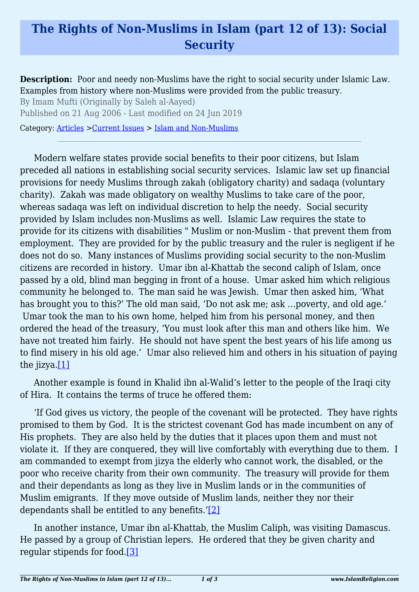## **The Rights of Non-Muslims in Islam (part 12 of 13): Social Security**

**Description:** Poor and needy non-Muslims have the right to social security under Islamic Law. Examples from history where non-Muslims were provided from the public treasury.

By Imam Mufti (Originally by Saleh al-Aayed)

Published on 21 Aug 2006 - Last modified on 24 Jun 2019

Category: [Articles](http://www.islamreligion.com/articles/) >[Current Issues](http://www.islamreligion.com/category/83/) > [Islam and Non-Muslims](http://www.islamreligion.com/category/85/)

Modern welfare states provide social benefits to their poor citizens, but Islam preceded all nations in establishing social security services. Islamic law set up financial provisions for needy Muslims through zakah (obligatory charity) and sadaqa (voluntary charity). Zakah was made obligatory on wealthy Muslims to take care of the poor, whereas sadaqa was left on individual discretion to help the needy. Social security provided by Islam includes non-Muslims as well. Islamic Law requires the state to provide for its citizens with disabilities " Muslim or non-Muslim - that prevent them from employment. They are provided for by the public treasury and the ruler is negligent if he does not do so. Many instances of Muslims providing social security to the non-Muslim citizens are recorded in history. Umar ibn al-Khattab the second caliph of Islam, once passed by a old, blind man begging in front of a house. Umar asked him which religious community he belonged to. The man said he was Jewish. Umar then asked him, 'What has brought you to this?' The old man said, 'Do not ask me; ask …poverty, and old age.' Umar took the man to his own home, helped him from his personal money, and then ordered the head of the treasury, 'You must look after this man and others like him. We have not treated him fairly. He should not have spent the best years of his life among us to find misery in his old age.' Umar also relieved him and others in his situation of paying the jizya[.\[1\]](#page-2-0)

<span id="page-0-0"></span>Another example is found in Khalid ibn al-Walid's letter to the people of the Iraqi city of Hira. It contains the terms of truce he offered them:

'If God gives us victory, the people of the covenant will be protected. They have rights promised to them by God. It is the strictest covenant God has made incumbent on any of His prophets. They are also held by the duties that it places upon them and must not violate it. If they are conquered, they will live comfortably with everything due to them. I am commanded to exempt from jizya the elderly who cannot work, the disabled, or the poor who receive charity from their own community. The treasury will provide for them and their dependants as long as they live in Muslim lands or in the communities of Muslim emigrants. If they move outside of Muslim lands, neither they nor their dependants shall be entitled to any benefits.' $[2]$ 

<span id="page-0-2"></span><span id="page-0-1"></span>In another instance, Umar ibn al-Khattab, the Muslim Caliph, was visiting Damascus. He passed by a group of Christian lepers. He ordered that they be given charity and regular stipends for food.[\[3\]](#page-2-2)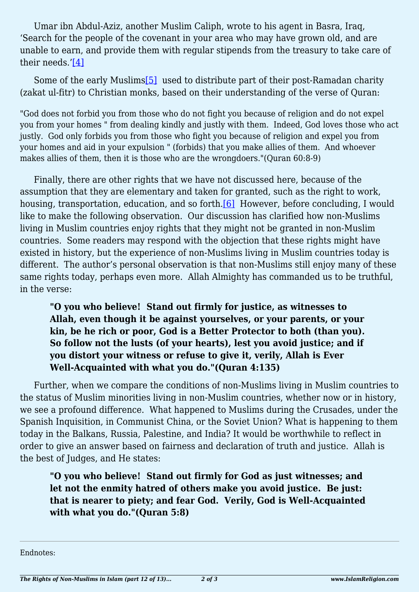Umar ibn Abdul-Aziz, another Muslim Caliph, wrote to his agent in Basra, Iraq, 'Search for the people of the covenant in your area who may have grown old, and are unable to earn, and provide them with regular stipends from the treasury to take care of their needs.'[\[4\]](#page-2-3)

<span id="page-1-1"></span><span id="page-1-0"></span>Some of the early Muslims [\[5\]](#page-2-4) used to distribute part of their post-Ramadan charity (zakat ul-fitr) to Christian monks, based on their understanding of the verse of Quran:

"God does not forbid you from those who do not fight you because of religion and do not expel you from your homes " from dealing kindly and justly with them. Indeed, God loves those who act justly. God only forbids you from those who fight you because of religion and expel you from your homes and aid in your expulsion " (forbids) that you make allies of them. And whoever makes allies of them, then it is those who are the wrongdoers."(Quran 60:8-9)

<span id="page-1-2"></span>Finally, there are other rights that we have not discussed here, because of the assumption that they are elementary and taken for granted, such as the right to work, housing, transportation, education, and so forth.<sup>[6]</sup> However, before concluding, I would like to make the following observation. Our discussion has clarified how non-Muslims living in Muslim countries enjoy rights that they might not be granted in non-Muslim countries. Some readers may respond with the objection that these rights might have existed in history, but the experience of non-Muslims living in Muslim countries today is different. The author's personal observation is that non-Muslims still enjoy many of these same rights today, perhaps even more. Allah Almighty has commanded us to be truthful, in the verse:

**"O you who believe! Stand out firmly for justice, as witnesses to Allah, even though it be against yourselves, or your parents, or your kin, be he rich or poor, God is a Better Protector to both (than you). So follow not the lusts (of your hearts), lest you avoid justice; and if you distort your witness or refuse to give it, verily, Allah is Ever Well-Acquainted with what you do."(Quran 4:135)**

Further, when we compare the conditions of non-Muslims living in Muslim countries to the status of Muslim minorities living in non-Muslim countries, whether now or in history, we see a profound difference. What happened to Muslims during the Crusades, under the Spanish Inquisition, in Communist China, or the Soviet Union? What is happening to them today in the Balkans, Russia, Palestine, and India? It would be worthwhile to reflect in order to give an answer based on fairness and declaration of truth and justice. Allah is the best of Judges, and He states:

**"O you who believe! Stand out firmly for God as just witnesses; and let not the enmity hatred of others make you avoid justice. Be just: that is nearer to piety; and fear God. Verily, God is Well-Acquainted with what you do."(Quran 5:8)**

Endnotes: